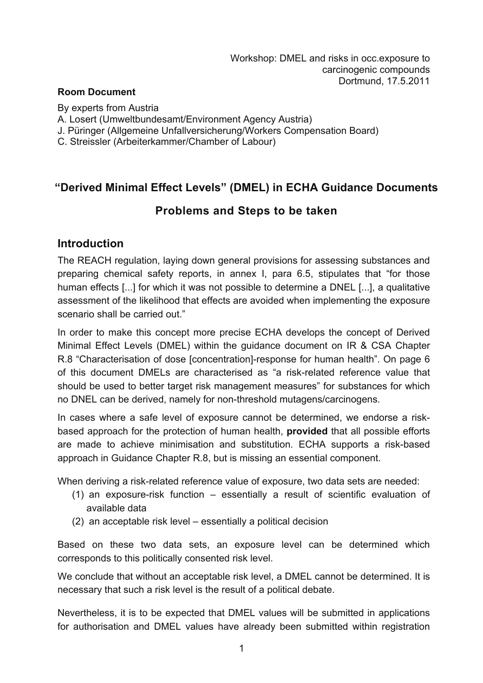#### **Room Document**

By experts from Austria

A. Losert (Umweltbundesamt/Environment Agency Austria)

J. Püringer (Allgemeine Unfallversicherung/Workers Compensation Board)

C. Streissler (Arbeiterkammer/Chamber of Labour)

# **"Derived Minimal Effect Levels" (DMEL) in ECHA Guidance Documents**

# **Problems and Steps to be taken**

### **Introduction**

The REACH regulation, laying down general provisions for assessing substances and preparing chemical safety reports, in annex I, para 6.5, stipulates that "for those human effects [...] for which it was not possible to determine a DNEL [...], a qualitative assessment of the likelihood that effects are avoided when implementing the exposure scenario shall be carried out."

In order to make this concept more precise ECHA develops the concept of Derived Minimal Effect Levels (DMEL) within the guidance document on IR & CSA Chapter R.8 "Characterisation of dose [concentration]-response for human health". On page 6 of this document DMELs are characterised as "a risk-related reference value that should be used to better target risk management measures" for substances for which no DNEL can be derived, namely for non-threshold mutagens/carcinogens.

In cases where a safe level of exposure cannot be determined, we endorse a riskbased approach for the protection of human health, **provided** that all possible efforts are made to achieve minimisation and substitution. ECHA supports a risk-based approach in Guidance Chapter R.8, but is missing an essential component.

When deriving a risk-related reference value of exposure, two data sets are needed:

- (1) an exposure-risk function essentially a result of scientific evaluation of available data
- (2) an acceptable risk level essentially a political decision

Based on these two data sets, an exposure level can be determined which corresponds to this politically consented risk level.

We conclude that without an acceptable risk level, a DMEL cannot be determined. It is necessary that such a risk level is the result of a political debate.

Nevertheless, it is to be expected that DMEL values will be submitted in applications for authorisation and DMEL values have already been submitted within registration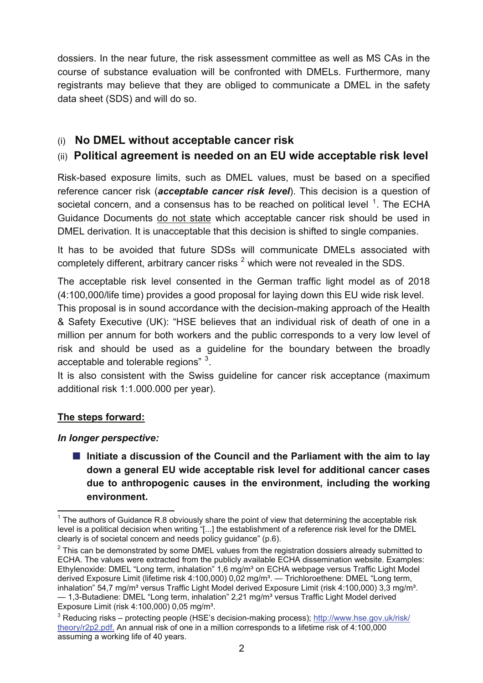dossiers. In the near future, the risk assessment committee as well as MS CAs in the course of substance evaluation will be confronted with DMELs. Furthermore, many registrants may believe that they are obliged to communicate a DMEL in the safety data sheet (SDS) and will do so.

## (i) **No DMEL without acceptable cancer risk**

### (ii) **Political agreement is needed on an EU wide acceptable risk level**

Risk-based exposure limits, such as DMEL values, must be based on a specified reference cancer risk (*acceptable cancer risk level*). This decision is a question of societal concern, and a consensus has to be reached on political level  $1$ . The ECHA Guidance Documents do not state which acceptable cancer risk should be used in DMEL derivation. It is unacceptable that this decision is shifted to single companies.

It has to be avoided that future SDSs will communicate DMELs associated with completely different, arbitrary cancer risks  $^2$  $^2$  which were not revealed in the SDS.

The acceptable risk level consented in the German traffic light model as of 2018 (4:100,000/life time) provides a good proposal for laying down this EU wide risk level.

This proposal is in sound accordance with the decision-making approach of the Health & Safety Executive (UK): "HSE believes that an individual risk of death of one in a million per annum for both workers and the public corresponds to a very low level of risk and should be used as a guideline for the boundary between the broadly acceptable and tolerable regions"  $3$ .

It is also consistent with the Swiss guideline for cancer risk acceptance (maximum additional risk 1:1.000.000 per year).

#### **The steps forward:**

l

#### *In longer perspective:*

■ Initiate a discussion of the Council and the Parliament with the aim to lay **down a general EU wide acceptable risk level for additional cancer cases due to anthropogenic causes in the environment, including the working environment.** 

<span id="page-1-0"></span> $1$  The authors of Guidance R.8 obviously share the point of view that determining the acceptable risk level is a political decision when writing "[...] the establishment of a reference risk level for the DMEL clearly is of societal concern and needs policy guidance" (p.6).

<span id="page-1-1"></span> $2$  This can be demonstrated by some DMEL values from the registration dossiers already submitted to ECHA. The values were extracted from the publicly available ECHA dissemination website. Examples: Ethylenoxide: DMEL "Long term, inhalation" 1,6 mg/m³ on ECHA webpage versus Traffic Light Model derived Exposure Limit (lifetime risk 4:100,000) 0,02 mg/m<sup>3</sup>. - Trichloroethene: DMEL "Long term, inhalation" 54,7 mg/m<sup>3</sup> versus Traffic Light Model derived Exposure Limit (risk 4:100,000) 3,3 mg/m<sup>3</sup>. — 1,3-Butadiene: DMEL "Long term, inhalation" 2,21 mg/m<sup>3</sup> versus Traffic Light Model derived Exposure Limit (risk 4:100,000) 0,05 mg/m<sup>3</sup>.

<span id="page-1-2"></span> $^3$  Reducing risks – protecting people (HSE's decision-making process); [http://www.hse.gov.uk/risk/](http://www.hse.gov.uk/risk/theory/r2p2.pdf) [theory/r2p2.pdf.](http://www.hse.gov.uk/risk/theory/r2p2.pdf) An annual risk of one in a million corresponds to a lifetime risk of 4:100,000 assuming a working life of 40 years.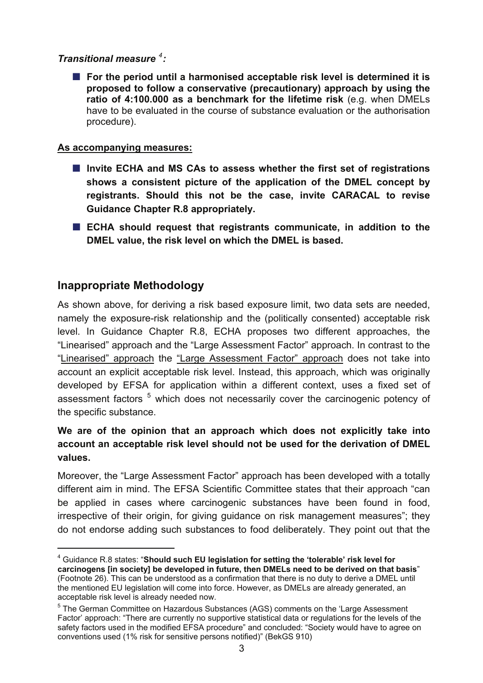### *Transitional measure [4](#page-2-0) :*

**For the period until a harmonised acceptable risk level is determined it is proposed to follow a conservative (precautionary) approach by using the ratio of 4:100.000 as a benchmark for the lifetime risk** (e.g. when DMELs have to be evaluated in the course of substance evaluation or the authorisation procedure).

#### **As accompanying measures:**

- Invite ECHA and MS CAs to assess whether the first set of registrations **shows a consistent picture of the application of the DMEL concept by registrants. Should this not be the case, invite CARACAL to revise Guidance Chapter R.8 appropriately.**
- **ECHA should request that registrants communicate, in addition to the DMEL value, the risk level on which the DMEL is based.**

## **Inappropriate Methodology**

l

As shown above, for deriving a risk based exposure limit, two data sets are needed, namely the exposure-risk relationship and the (politically consented) acceptable risk level. In Guidance Chapter R.8, ECHA proposes two different approaches, the "Linearised" approach and the "Large Assessment Factor" approach. In contrast to the "Linearised" approach the "Large Assessment Factor" approach does not take into account an explicit acceptable risk level. Instead, this approach, which was originally developed by EFSA for application within a different context, uses a fixed set of assessment factors <sup>[5](#page-2-1)</sup> which does not necessarily cover the carcinogenic potency of the specific substance.

### **We are of the opinion that an approach which does not explicitly take into account an acceptable risk level should not be used for the derivation of DMEL values.**

Moreover, the "Large Assessment Factor" approach has been developed with a totally different aim in mind. The EFSA Scientific Committee states that their approach "can be applied in cases where carcinogenic substances have been found in food, irrespective of their origin, for giving guidance on risk management measures"; they do not endorse adding such substances to food deliberately. They point out that the

<span id="page-2-0"></span><sup>4</sup> Guidance R.8 states: "**Should such EU legislation for setting the 'tolerable' risk level for carcinogens [in society] be developed in future, then DMELs need to be derived on that basis**" (Footnote 26). This can be understood as a confirmation that there is no duty to derive a DMEL until the mentioned EU legislation will come into force. However, as DMELs are already generated, an acceptable risk level is already needed now.

<span id="page-2-1"></span><sup>&</sup>lt;sup>5</sup> The German Committee on Hazardous Substances (AGS) comments on the 'Large Assessment Factor' approach: "There are currently no supportive statistical data or regulations for the levels of the safety factors used in the modified EFSA procedure" and concluded: "Society would have to agree on conventions used (1% risk for sensitive persons notified)" (BekGS 910)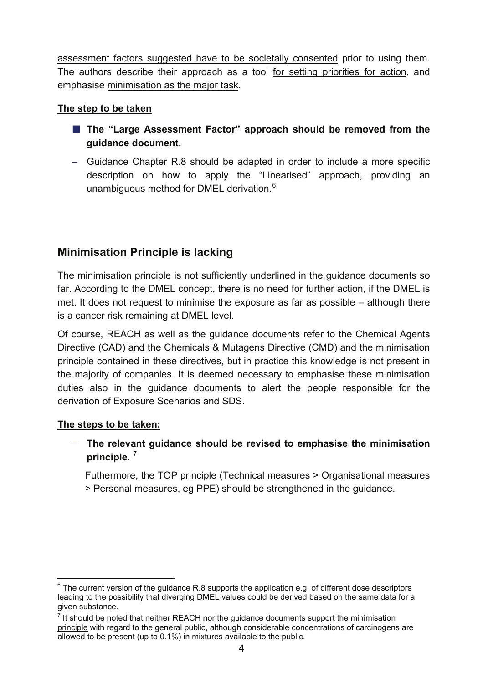assessment factors suggested have to be societally consented prior to using them. The authors describe their approach as a tool for setting priorities for action, and emphasise minimisation as the major task.

#### **The step to be taken**

- The "Large Assessment Factor" approach should be removed from the **guidance document.**
- − Guidance Chapter R.8 should be adapted in order to include a more specific description on how to apply the "Linearised" approach, providing an unambiguous method for DMEL derivation.<sup>6</sup>

# **Minimisation Principle is lacking**

The minimisation principle is not sufficiently underlined in the guidance documents so far. According to the DMEL concept, there is no need for further action, if the DMEL is met. It does not request to minimise the exposure as far as possible – although there is a cancer risk remaining at DMEL level.

 derivation of Exposure Scenarios and SDS. Of course, REACH as well as the guidance documents refer to the Chemical Agents Directive (CAD) and the Chemicals & Mutagens Directive (CMD) and the minimisation principle contained in these directives, but in practice this knowledge is not present in the majority of companies. It is deemed necessary to emphasise these minimisation duties also in the guidance documents to alert the people responsible for the

#### **The steps to be taken:**

− **The relevant guidance should be revised to emphasise the minimisation principle.** [7](#page-3-1) 

Futhermore, the TOP principle (Technical measures > Organisational measures > Personal measures, eg PPE) should be strengthened in the guidance.

<span id="page-3-0"></span>l  $6$  The current version of the guidance R.8 supports the application e.g. of different dose descriptors leading to the possibility that diverging DMEL values could be derived based on the same data for a given substance.

<span id="page-3-1"></span> $<sup>7</sup>$  It should be noted that neither REACH nor the guidance documents support the minimisation</sup> principle with regard to the general public, although considerable concentrations of carcinogens are allowed to be present (up to 0.1%) in mixtures available to the public.